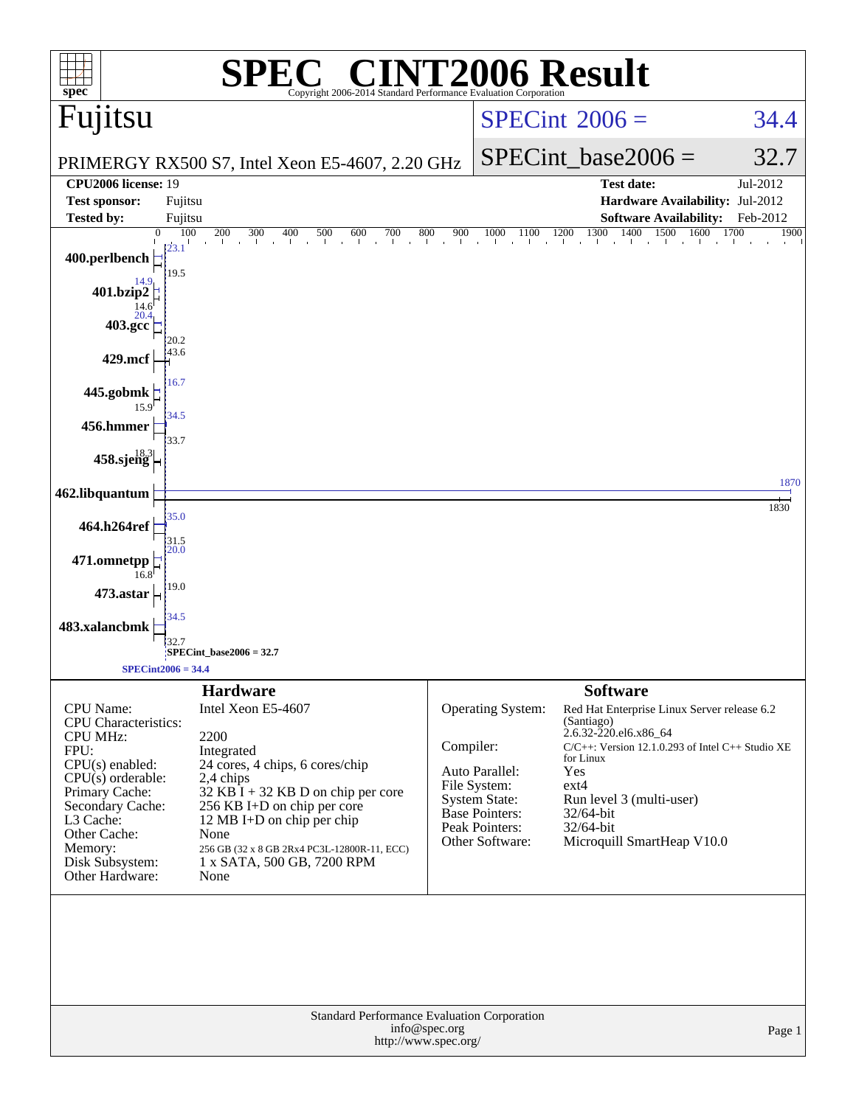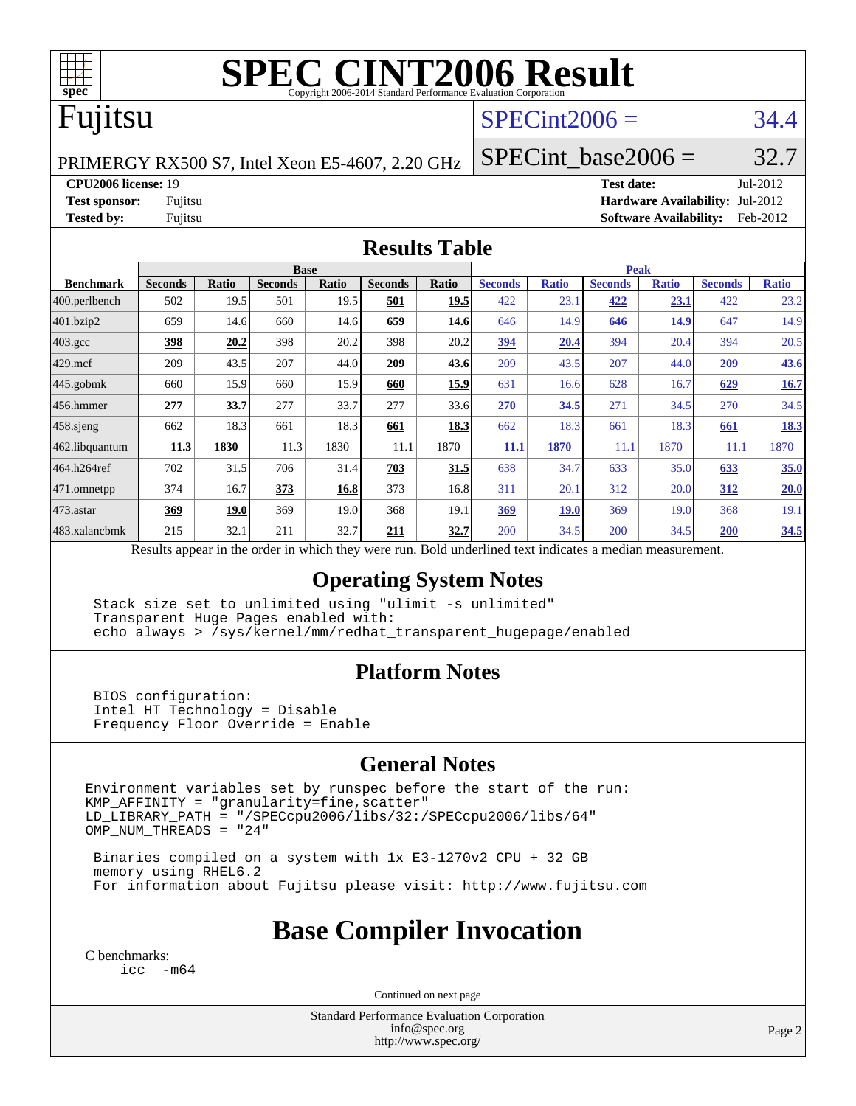

# **[SPEC CINT2006 Result](http://www.spec.org/auto/cpu2006/Docs/result-fields.html#SPECCINT2006Result)**

# Fujitsu

### $SPECint2006 = 34.4$  $SPECint2006 = 34.4$

PRIMERGY RX500 S7, Intel Xeon E5-4607, 2.20 GHz

SPECint base2006 =  $32.7$ 

**[CPU2006 license:](http://www.spec.org/auto/cpu2006/Docs/result-fields.html#CPU2006license)** 19 **[Test date:](http://www.spec.org/auto/cpu2006/Docs/result-fields.html#Testdate)** Jul-2012

**[Test sponsor:](http://www.spec.org/auto/cpu2006/Docs/result-fields.html#Testsponsor)** Fujitsu **[Hardware Availability:](http://www.spec.org/auto/cpu2006/Docs/result-fields.html#HardwareAvailability)** Jul-2012 **[Tested by:](http://www.spec.org/auto/cpu2006/Docs/result-fields.html#Testedby)** Fujitsu **[Software Availability:](http://www.spec.org/auto/cpu2006/Docs/result-fields.html#SoftwareAvailability)** Feb-2012

#### **[Results Table](http://www.spec.org/auto/cpu2006/Docs/result-fields.html#ResultsTable)**

|                                                                                                          | <b>Base</b>    |       |                |       |                |              | <b>Peak</b>    |              |                |              |                |              |
|----------------------------------------------------------------------------------------------------------|----------------|-------|----------------|-------|----------------|--------------|----------------|--------------|----------------|--------------|----------------|--------------|
| <b>Benchmark</b>                                                                                         | <b>Seconds</b> | Ratio | <b>Seconds</b> | Ratio | <b>Seconds</b> | <b>Ratio</b> | <b>Seconds</b> | <b>Ratio</b> | <b>Seconds</b> | <b>Ratio</b> | <b>Seconds</b> | <b>Ratio</b> |
| 400.perlbench                                                                                            | 502            | 19.5  | 501            | 19.5  | 501            | 19.5         | 422            | 23.1         | 422            | 23.1         | 422            | 23.2         |
| 401.bzip2                                                                                                | 659            | 14.6  | 660            | 14.6  | 659            | 14.6         | 646            | 14.9         | 646            | 14.9         | 647            | 14.9         |
| $403.\mathrm{gcc}$                                                                                       | 398            | 20.2  | 398            | 20.2  | 398            | 20.2         | 394            | 20.4         | 394            | 20.4         | 394            | 20.5         |
| $429$ mcf                                                                                                | 209            | 43.5  | 207            | 44.0  | 209            | 43.6         | 209            | 43.5         | 207            | 44.0         | 209            | <u>43.6</u>  |
| $ 445.\text{gobmk} $                                                                                     | 660            | 15.9  | 660            | 15.9  | 660            | 15.9         | 631            | 16.6         | 628            | 16.7         | 629            | 16.7         |
| 456.hmmer                                                                                                | 277            | 33.7  | 277            | 33.7  | 277            | 33.6         | 270            | 34.5         | 271            | 34.5         | 270            | 34.5         |
| $458$ .sjeng                                                                                             | 662            | 18.3  | 661            | 18.3  | 661            | 18.3         | 662            | 18.3         | 661            | 18.3         | 661            | 18.3         |
| 462.libquantum                                                                                           | 11.3           | 1830  | 11.3           | 1830  | 11.1           | 1870         | 11.1           | 1870         | 11.1           | 1870         | 11.1           | 1870         |
| 464.h264ref                                                                                              | 702            | 31.5  | 706            | 31.4  | 703            | 31.5         | 638            | 34.7         | 633            | 35.0         | 633            | 35.0         |
| 471.omnetpp                                                                                              | 374            | 16.7  | 373            | 16.8  | 373            | 16.8         | 311            | 20.1         | 312            | 20.0         | 312            | 20.0         |
| 473.astar                                                                                                | 369            | 19.0  | 369            | 19.0  | 368            | 19.1         | 369            | <b>19.0</b>  | 369            | 19.0         | 368            | 19.1         |
| 483.xalancbmk                                                                                            | 215            | 32.1  | 211            | 32.7  | 211            | 32.7         | 200            | 34.5         | 200            | 34.5         | 200            | 34.5         |
| Results appear in the order in which they were run. Bold underlined text indicates a median measurement. |                |       |                |       |                |              |                |              |                |              |                |              |

### **[Operating System Notes](http://www.spec.org/auto/cpu2006/Docs/result-fields.html#OperatingSystemNotes)**

 Stack size set to unlimited using "ulimit -s unlimited" Transparent Huge Pages enabled with: echo always > /sys/kernel/mm/redhat\_transparent\_hugepage/enabled

### **[Platform Notes](http://www.spec.org/auto/cpu2006/Docs/result-fields.html#PlatformNotes)**

 BIOS configuration: Intel HT Technology = Disable Frequency Floor Override = Enable

### **[General Notes](http://www.spec.org/auto/cpu2006/Docs/result-fields.html#GeneralNotes)**

Environment variables set by runspec before the start of the run:  $KMP_A$ FFINITY = "granularity=fine, scatter" LD\_LIBRARY\_PATH = "/SPECcpu2006/libs/32:/SPECcpu2006/libs/64" OMP\_NUM\_THREADS = "24"

 Binaries compiled on a system with 1x E3-1270v2 CPU + 32 GB memory using RHEL6.2 For information about Fujitsu please visit: <http://www.fujitsu.com>

# **[Base Compiler Invocation](http://www.spec.org/auto/cpu2006/Docs/result-fields.html#BaseCompilerInvocation)**

[C benchmarks](http://www.spec.org/auto/cpu2006/Docs/result-fields.html#Cbenchmarks): [icc -m64](http://www.spec.org/cpu2006/results/res2012q3/cpu2006-20120730-23919.flags.html#user_CCbase_intel_icc_64bit_f346026e86af2a669e726fe758c88044)

Continued on next page

Standard Performance Evaluation Corporation [info@spec.org](mailto:info@spec.org) <http://www.spec.org/>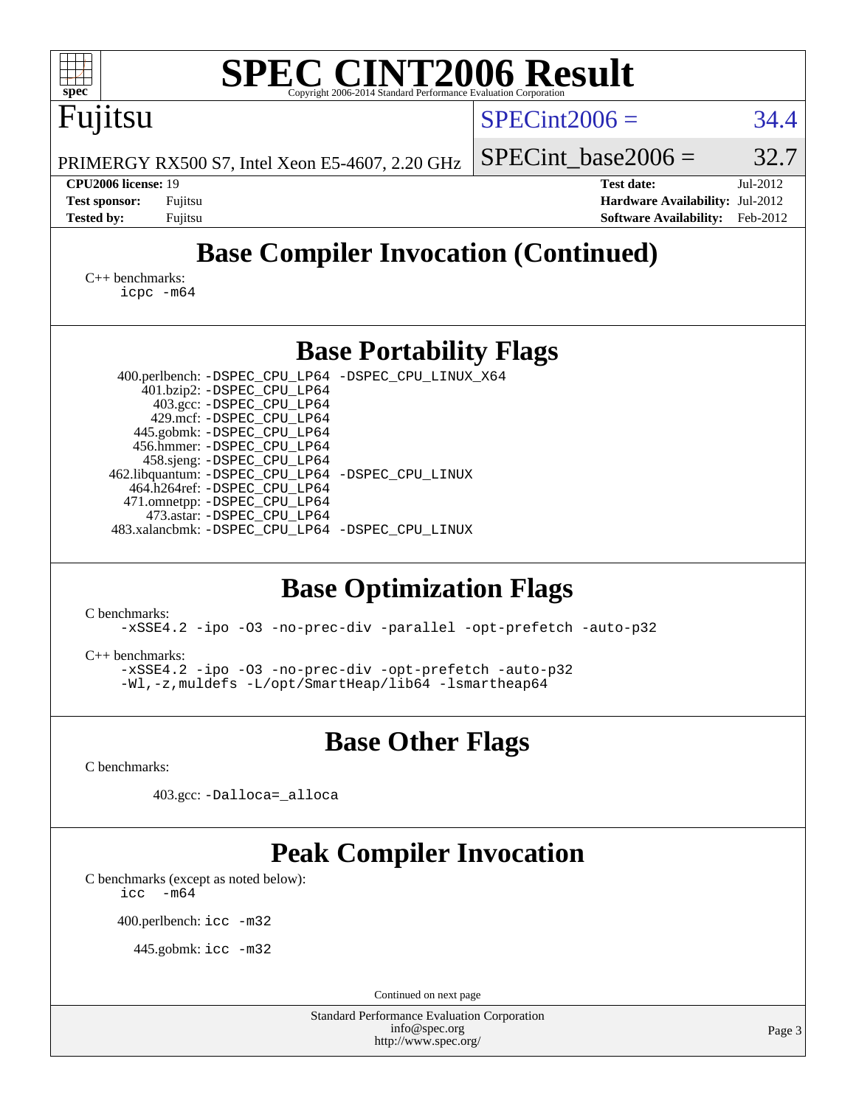| <b>SPEC CINT2006 Result</b><br>spec <sup>®</sup><br>Copyright 2006-2014 Standard Performance Evaluation Corporation                                                                                                                                                                                                                                                                                                                      |                                                                                                               |
|------------------------------------------------------------------------------------------------------------------------------------------------------------------------------------------------------------------------------------------------------------------------------------------------------------------------------------------------------------------------------------------------------------------------------------------|---------------------------------------------------------------------------------------------------------------|
| Fujitsu                                                                                                                                                                                                                                                                                                                                                                                                                                  | $SPECint2006 =$<br>34.4                                                                                       |
| PRIMERGY RX500 S7, Intel Xeon E5-4607, 2.20 GHz                                                                                                                                                                                                                                                                                                                                                                                          | 32.7<br>$SPECint base2006 =$                                                                                  |
| CPU2006 license: 19<br><b>Test sponsor:</b><br>Fujitsu<br><b>Tested by:</b><br>Fujitsu                                                                                                                                                                                                                                                                                                                                                   | <b>Test date:</b><br>Jul-2012<br>Hardware Availability: Jul-2012<br><b>Software Availability:</b><br>Feb-2012 |
| <b>Base Compiler Invocation (Continued)</b>                                                                                                                                                                                                                                                                                                                                                                                              |                                                                                                               |
| $C_{++}$ benchmarks:<br>icpc -m64                                                                                                                                                                                                                                                                                                                                                                                                        |                                                                                                               |
| <b>Base Portability Flags</b>                                                                                                                                                                                                                                                                                                                                                                                                            |                                                                                                               |
| 400.perlbench: -DSPEC_CPU_LP64 -DSPEC_CPU_LINUX_X64<br>401.bzip2: -DSPEC_CPU_LP64<br>403.gcc: -DSPEC_CPU_LP64<br>429.mcf: -DSPEC_CPU_LP64<br>445.gobmk: -DSPEC_CPU_LP64<br>456.hmmer: -DSPEC_CPU_LP64<br>458.sjeng: -DSPEC_CPU_LP64<br>462.libquantum: -DSPEC_CPU_LP64 -DSPEC_CPU_LINUX<br>464.h264ref: -DSPEC_CPU_LP64<br>471.omnetpp: -DSPEC_CPU_LP64<br>473.astar: -DSPEC_CPU_LP64<br>483.xalancbmk: -DSPEC_CPU_LP64 -DSPEC_CPU_LINUX |                                                                                                               |
| <b>Base Optimization Flags</b><br>C benchmarks:<br>-xSSE4.2 -ipo -03 -no-prec-div -parallel -opt-prefetch -auto-p32<br>$C_{++}$ benchmarks:<br>-xSSE4.2 -ipo -03 -no-prec-div -opt-prefetch -auto-p32<br>-Wl,-z, muldefs -L/opt/SmartHeap/lib64 -lsmartheap64                                                                                                                                                                            |                                                                                                               |
| <b>Base Other Flags</b>                                                                                                                                                                                                                                                                                                                                                                                                                  |                                                                                                               |
| C benchmarks:                                                                                                                                                                                                                                                                                                                                                                                                                            |                                                                                                               |
| 403.gcc: -Dalloca=_alloca                                                                                                                                                                                                                                                                                                                                                                                                                |                                                                                                               |
| <b>Peak Compiler Invocation</b><br>C benchmarks (except as noted below):<br>$-m64$<br>icc<br>400.perlbench: icc -m32<br>445.gobmk: icc -m32                                                                                                                                                                                                                                                                                              |                                                                                                               |
| Continued on next page<br><b>Standard Performance Evaluation Corporation</b>                                                                                                                                                                                                                                                                                                                                                             |                                                                                                               |
| info@spec.org<br>http://www.spec.org/                                                                                                                                                                                                                                                                                                                                                                                                    | Page 3                                                                                                        |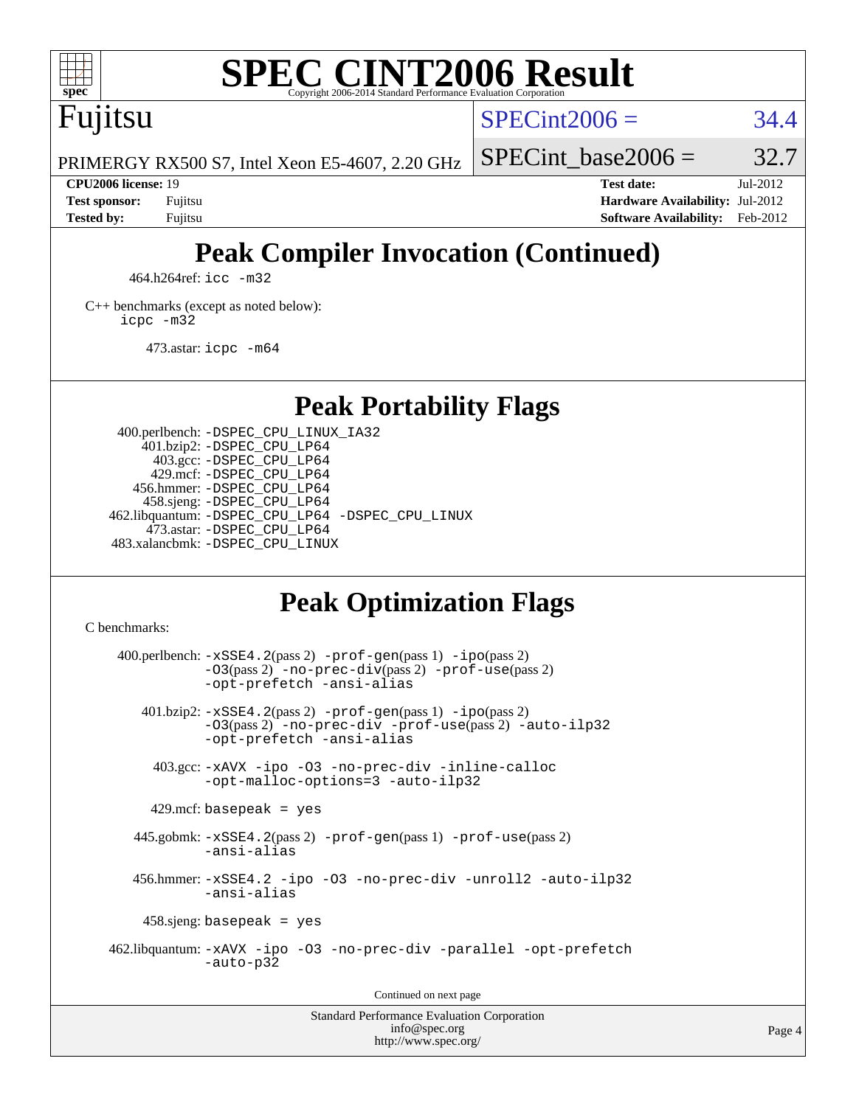

# **[SPEC CINT2006 Result](http://www.spec.org/auto/cpu2006/Docs/result-fields.html#SPECCINT2006Result)**

Fujitsu

 $SPECint2006 = 34.4$  $SPECint2006 = 34.4$ 

SPECint base2006 =  $32.7$ 

PRIMERGY RX500 S7, Intel Xeon E5-4607, 2.20 GHz

**[Tested by:](http://www.spec.org/auto/cpu2006/Docs/result-fields.html#Testedby)** Fujitsu **[Software Availability:](http://www.spec.org/auto/cpu2006/Docs/result-fields.html#SoftwareAvailability)** Feb-2012

**[CPU2006 license:](http://www.spec.org/auto/cpu2006/Docs/result-fields.html#CPU2006license)** 19 **[Test date:](http://www.spec.org/auto/cpu2006/Docs/result-fields.html#Testdate)** Jul-2012 **[Test sponsor:](http://www.spec.org/auto/cpu2006/Docs/result-fields.html#Testsponsor)** Fujitsu **[Hardware Availability:](http://www.spec.org/auto/cpu2006/Docs/result-fields.html#HardwareAvailability)** Jul-2012

# **[Peak Compiler Invocation \(Continued\)](http://www.spec.org/auto/cpu2006/Docs/result-fields.html#PeakCompilerInvocation)**

464.h264ref: [icc -m32](http://www.spec.org/cpu2006/results/res2012q3/cpu2006-20120730-23919.flags.html#user_peakCCLD464_h264ref_intel_icc_a6a621f8d50482236b970c6ac5f55f93)

[C++ benchmarks \(except as noted below\):](http://www.spec.org/auto/cpu2006/Docs/result-fields.html#CXXbenchmarksexceptasnotedbelow) [icpc -m32](http://www.spec.org/cpu2006/results/res2012q3/cpu2006-20120730-23919.flags.html#user_CXXpeak_intel_icpc_4e5a5ef1a53fd332b3c49e69c3330699)

473.astar: [icpc -m64](http://www.spec.org/cpu2006/results/res2012q3/cpu2006-20120730-23919.flags.html#user_peakCXXLD473_astar_intel_icpc_64bit_fc66a5337ce925472a5c54ad6a0de310)

**[Peak Portability Flags](http://www.spec.org/auto/cpu2006/Docs/result-fields.html#PeakPortabilityFlags)**

 400.perlbench: [-DSPEC\\_CPU\\_LINUX\\_IA32](http://www.spec.org/cpu2006/results/res2012q3/cpu2006-20120730-23919.flags.html#b400.perlbench_peakCPORTABILITY_DSPEC_CPU_LINUX_IA32) 401.bzip2: [-DSPEC\\_CPU\\_LP64](http://www.spec.org/cpu2006/results/res2012q3/cpu2006-20120730-23919.flags.html#suite_peakPORTABILITY401_bzip2_DSPEC_CPU_LP64) 403.gcc: [-DSPEC\\_CPU\\_LP64](http://www.spec.org/cpu2006/results/res2012q3/cpu2006-20120730-23919.flags.html#suite_peakPORTABILITY403_gcc_DSPEC_CPU_LP64) 429.mcf: [-DSPEC\\_CPU\\_LP64](http://www.spec.org/cpu2006/results/res2012q3/cpu2006-20120730-23919.flags.html#suite_peakPORTABILITY429_mcf_DSPEC_CPU_LP64) 456.hmmer: [-DSPEC\\_CPU\\_LP64](http://www.spec.org/cpu2006/results/res2012q3/cpu2006-20120730-23919.flags.html#suite_peakPORTABILITY456_hmmer_DSPEC_CPU_LP64) 458.sjeng: [-DSPEC\\_CPU\\_LP64](http://www.spec.org/cpu2006/results/res2012q3/cpu2006-20120730-23919.flags.html#suite_peakPORTABILITY458_sjeng_DSPEC_CPU_LP64) 462.libquantum: [-DSPEC\\_CPU\\_LP64](http://www.spec.org/cpu2006/results/res2012q3/cpu2006-20120730-23919.flags.html#suite_peakPORTABILITY462_libquantum_DSPEC_CPU_LP64) [-DSPEC\\_CPU\\_LINUX](http://www.spec.org/cpu2006/results/res2012q3/cpu2006-20120730-23919.flags.html#b462.libquantum_peakCPORTABILITY_DSPEC_CPU_LINUX) 473.astar: [-DSPEC\\_CPU\\_LP64](http://www.spec.org/cpu2006/results/res2012q3/cpu2006-20120730-23919.flags.html#suite_peakPORTABILITY473_astar_DSPEC_CPU_LP64) 483.xalancbmk: [-DSPEC\\_CPU\\_LINUX](http://www.spec.org/cpu2006/results/res2012q3/cpu2006-20120730-23919.flags.html#b483.xalancbmk_peakCXXPORTABILITY_DSPEC_CPU_LINUX)

# **[Peak Optimization Flags](http://www.spec.org/auto/cpu2006/Docs/result-fields.html#PeakOptimizationFlags)**

[C benchmarks](http://www.spec.org/auto/cpu2006/Docs/result-fields.html#Cbenchmarks):

 $400.$ perlbench:  $-xSSE4$ .  $2(pass 2)$  -prof-qen(pass 1) [-ipo](http://www.spec.org/cpu2006/results/res2012q3/cpu2006-20120730-23919.flags.html#user_peakPASS2_CFLAGSPASS2_LDCFLAGS400_perlbench_f-ipo)(pass 2) [-O3](http://www.spec.org/cpu2006/results/res2012q3/cpu2006-20120730-23919.flags.html#user_peakPASS2_CFLAGSPASS2_LDCFLAGS400_perlbench_f-O3)(pass 2) [-no-prec-div](http://www.spec.org/cpu2006/results/res2012q3/cpu2006-20120730-23919.flags.html#user_peakPASS2_CFLAGSPASS2_LDCFLAGS400_perlbench_f-no-prec-div)(pass 2) [-prof-use](http://www.spec.org/cpu2006/results/res2012q3/cpu2006-20120730-23919.flags.html#user_peakPASS2_CFLAGSPASS2_LDCFLAGS400_perlbench_prof_use_bccf7792157ff70d64e32fe3e1250b55)(pass 2) [-opt-prefetch](http://www.spec.org/cpu2006/results/res2012q3/cpu2006-20120730-23919.flags.html#user_peakCOPTIMIZE400_perlbench_f-opt-prefetch) [-ansi-alias](http://www.spec.org/cpu2006/results/res2012q3/cpu2006-20120730-23919.flags.html#user_peakCOPTIMIZE400_perlbench_f-ansi-alias) 401.bzip2: [-xSSE4.2](http://www.spec.org/cpu2006/results/res2012q3/cpu2006-20120730-23919.flags.html#user_peakPASS2_CFLAGSPASS2_LDCFLAGS401_bzip2_f-xSSE42_f91528193cf0b216347adb8b939d4107)(pass 2) [-prof-gen](http://www.spec.org/cpu2006/results/res2012q3/cpu2006-20120730-23919.flags.html#user_peakPASS1_CFLAGSPASS1_LDCFLAGS401_bzip2_prof_gen_e43856698f6ca7b7e442dfd80e94a8fc)(pass 1) [-ipo](http://www.spec.org/cpu2006/results/res2012q3/cpu2006-20120730-23919.flags.html#user_peakPASS2_CFLAGSPASS2_LDCFLAGS401_bzip2_f-ipo)(pass 2) [-O3](http://www.spec.org/cpu2006/results/res2012q3/cpu2006-20120730-23919.flags.html#user_peakPASS2_CFLAGSPASS2_LDCFLAGS401_bzip2_f-O3)(pass 2) [-no-prec-div](http://www.spec.org/cpu2006/results/res2012q3/cpu2006-20120730-23919.flags.html#user_peakCOPTIMIZEPASS2_CFLAGSPASS2_LDCFLAGS401_bzip2_f-no-prec-div) [-prof-use](http://www.spec.org/cpu2006/results/res2012q3/cpu2006-20120730-23919.flags.html#user_peakPASS2_CFLAGSPASS2_LDCFLAGS401_bzip2_prof_use_bccf7792157ff70d64e32fe3e1250b55)(pass 2) [-auto-ilp32](http://www.spec.org/cpu2006/results/res2012q3/cpu2006-20120730-23919.flags.html#user_peakCOPTIMIZE401_bzip2_f-auto-ilp32) [-opt-prefetch](http://www.spec.org/cpu2006/results/res2012q3/cpu2006-20120730-23919.flags.html#user_peakCOPTIMIZE401_bzip2_f-opt-prefetch) [-ansi-alias](http://www.spec.org/cpu2006/results/res2012q3/cpu2006-20120730-23919.flags.html#user_peakCOPTIMIZE401_bzip2_f-ansi-alias) 403.gcc: [-xAVX](http://www.spec.org/cpu2006/results/res2012q3/cpu2006-20120730-23919.flags.html#user_peakCOPTIMIZE403_gcc_f-xAVX) [-ipo](http://www.spec.org/cpu2006/results/res2012q3/cpu2006-20120730-23919.flags.html#user_peakCOPTIMIZE403_gcc_f-ipo) [-O3](http://www.spec.org/cpu2006/results/res2012q3/cpu2006-20120730-23919.flags.html#user_peakCOPTIMIZE403_gcc_f-O3) [-no-prec-div](http://www.spec.org/cpu2006/results/res2012q3/cpu2006-20120730-23919.flags.html#user_peakCOPTIMIZE403_gcc_f-no-prec-div) [-inline-calloc](http://www.spec.org/cpu2006/results/res2012q3/cpu2006-20120730-23919.flags.html#user_peakCOPTIMIZE403_gcc_f-inline-calloc) [-opt-malloc-options=3](http://www.spec.org/cpu2006/results/res2012q3/cpu2006-20120730-23919.flags.html#user_peakCOPTIMIZE403_gcc_f-opt-malloc-options_13ab9b803cf986b4ee62f0a5998c2238) [-auto-ilp32](http://www.spec.org/cpu2006/results/res2012q3/cpu2006-20120730-23919.flags.html#user_peakCOPTIMIZE403_gcc_f-auto-ilp32)  $429$ .mcf: basepeak = yes 445.gobmk: [-xSSE4.2](http://www.spec.org/cpu2006/results/res2012q3/cpu2006-20120730-23919.flags.html#user_peakPASS2_CFLAGSPASS2_LDCFLAGS445_gobmk_f-xSSE42_f91528193cf0b216347adb8b939d4107)(pass 2) [-prof-gen](http://www.spec.org/cpu2006/results/res2012q3/cpu2006-20120730-23919.flags.html#user_peakPASS1_CFLAGSPASS1_LDCFLAGS445_gobmk_prof_gen_e43856698f6ca7b7e442dfd80e94a8fc)(pass 1) [-prof-use](http://www.spec.org/cpu2006/results/res2012q3/cpu2006-20120730-23919.flags.html#user_peakPASS2_CFLAGSPASS2_LDCFLAGS445_gobmk_prof_use_bccf7792157ff70d64e32fe3e1250b55)(pass 2) [-ansi-alias](http://www.spec.org/cpu2006/results/res2012q3/cpu2006-20120730-23919.flags.html#user_peakCOPTIMIZE445_gobmk_f-ansi-alias) 456.hmmer: [-xSSE4.2](http://www.spec.org/cpu2006/results/res2012q3/cpu2006-20120730-23919.flags.html#user_peakCOPTIMIZE456_hmmer_f-xSSE42_f91528193cf0b216347adb8b939d4107) [-ipo](http://www.spec.org/cpu2006/results/res2012q3/cpu2006-20120730-23919.flags.html#user_peakCOPTIMIZE456_hmmer_f-ipo) [-O3](http://www.spec.org/cpu2006/results/res2012q3/cpu2006-20120730-23919.flags.html#user_peakCOPTIMIZE456_hmmer_f-O3) [-no-prec-div](http://www.spec.org/cpu2006/results/res2012q3/cpu2006-20120730-23919.flags.html#user_peakCOPTIMIZE456_hmmer_f-no-prec-div) [-unroll2](http://www.spec.org/cpu2006/results/res2012q3/cpu2006-20120730-23919.flags.html#user_peakCOPTIMIZE456_hmmer_f-unroll_784dae83bebfb236979b41d2422d7ec2) [-auto-ilp32](http://www.spec.org/cpu2006/results/res2012q3/cpu2006-20120730-23919.flags.html#user_peakCOPTIMIZE456_hmmer_f-auto-ilp32) [-ansi-alias](http://www.spec.org/cpu2006/results/res2012q3/cpu2006-20120730-23919.flags.html#user_peakCOPTIMIZE456_hmmer_f-ansi-alias) 458.sjeng: basepeak = yes 462.libquantum: [-xAVX](http://www.spec.org/cpu2006/results/res2012q3/cpu2006-20120730-23919.flags.html#user_peakCOPTIMIZE462_libquantum_f-xAVX) [-ipo](http://www.spec.org/cpu2006/results/res2012q3/cpu2006-20120730-23919.flags.html#user_peakCOPTIMIZE462_libquantum_f-ipo) [-O3](http://www.spec.org/cpu2006/results/res2012q3/cpu2006-20120730-23919.flags.html#user_peakCOPTIMIZE462_libquantum_f-O3) [-no-prec-div](http://www.spec.org/cpu2006/results/res2012q3/cpu2006-20120730-23919.flags.html#user_peakCOPTIMIZE462_libquantum_f-no-prec-div) [-parallel](http://www.spec.org/cpu2006/results/res2012q3/cpu2006-20120730-23919.flags.html#user_peakCOPTIMIZE462_libquantum_f-parallel) [-opt-prefetch](http://www.spec.org/cpu2006/results/res2012q3/cpu2006-20120730-23919.flags.html#user_peakCOPTIMIZE462_libquantum_f-opt-prefetch) [-auto-p32](http://www.spec.org/cpu2006/results/res2012q3/cpu2006-20120730-23919.flags.html#user_peakCOPTIMIZE462_libquantum_f-auto-p32) Continued on next page

Standard Performance Evaluation Corporation [info@spec.org](mailto:info@spec.org) <http://www.spec.org/>